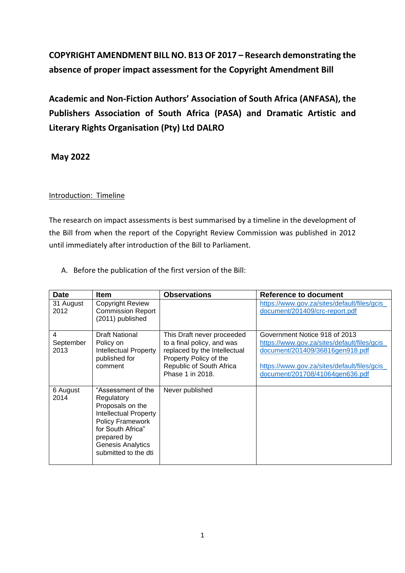# **COPYRIGHT AMENDMENT BILL NO. B13 OF 2017 – Research demonstrating the absence of proper impact assessment for the Copyright Amendment Bill**

**Academic and Non-Fiction Authors' Association of South Africa (ANFASA), the Publishers Association of South Africa (PASA) and Dramatic Artistic and Literary Rights Organisation (Pty) Ltd DALRO**

**May 2022**

### Introduction: Timeline

The research on impact assessments is best summarised by a timeline in the development of the Bill from when the report of the Copyright Review Commission was published in 2012 until immediately after introduction of the Bill to Parliament.

| <b>Date</b>            | <b>Item</b>                                                                                                                                                                                             | <b>Observations</b>                                                                                                                                                | <b>Reference to document</b>                                                                                                                                                                       |
|------------------------|---------------------------------------------------------------------------------------------------------------------------------------------------------------------------------------------------------|--------------------------------------------------------------------------------------------------------------------------------------------------------------------|----------------------------------------------------------------------------------------------------------------------------------------------------------------------------------------------------|
| 31 August<br>2012      | <b>Copyright Review</b><br><b>Commission Report</b><br>(2011) published                                                                                                                                 |                                                                                                                                                                    | https://www.gov.za/sites/default/files/gcis_<br>document/201409/crc-report.pdf                                                                                                                     |
| 4<br>September<br>2013 | <b>Draft National</b><br>Policy on<br><b>Intellectual Property</b><br>published for<br>comment                                                                                                          | This Draft never proceeded<br>to a final policy, and was<br>replaced by the Intellectual<br>Property Policy of the<br>Republic of South Africa<br>Phase 1 in 2018. | Government Notice 918 of 2013<br>https://www.gov.za/sites/default/files/gcis_<br>document/201409/36816gen918.pdf<br>https://www.gov.za/sites/default/files/gcis<br>document/201708/41064gen636.pdf |
| 6 August<br>2014       | "Assessment of the<br>Regulatory<br>Proposals on the<br><b>Intellectual Property</b><br><b>Policy Framework</b><br>for South Africa"<br>prepared by<br><b>Genesis Analytics</b><br>submitted to the dti | Never published                                                                                                                                                    |                                                                                                                                                                                                    |

A. Before the publication of the first version of the Bill: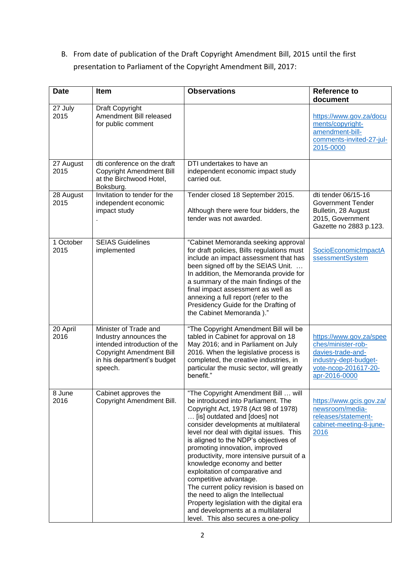B. From date of publication of the Draft Copyright Amendment Bill, 2015 until the first presentation to Parliament of the Copyright Amendment Bill, 2017:

| <b>Date</b>       | Item                                                                                                                                                        | <b>Observations</b>                                                                                                                                                                                                                                                                                                                                                                                                                                                                                                                                                                                                                                                      | <b>Reference to</b><br>document                                                                                                      |
|-------------------|-------------------------------------------------------------------------------------------------------------------------------------------------------------|--------------------------------------------------------------------------------------------------------------------------------------------------------------------------------------------------------------------------------------------------------------------------------------------------------------------------------------------------------------------------------------------------------------------------------------------------------------------------------------------------------------------------------------------------------------------------------------------------------------------------------------------------------------------------|--------------------------------------------------------------------------------------------------------------------------------------|
| 27 July<br>2015   | Draft Copyright<br>Amendment Bill released<br>for public comment                                                                                            |                                                                                                                                                                                                                                                                                                                                                                                                                                                                                                                                                                                                                                                                          | https://www.gov.za/docu<br>ments/copyright-<br>amendment-bill-<br>comments-invited-27-jul-<br>2015-0000                              |
| 27 August<br>2015 | dti conference on the draft<br><b>Copyright Amendment Bill</b><br>at the Birchwood Hotel,<br>Boksburg.                                                      | DTI undertakes to have an<br>independent economic impact study<br>carried out.                                                                                                                                                                                                                                                                                                                                                                                                                                                                                                                                                                                           |                                                                                                                                      |
| 28 August<br>2015 | Invitation to tender for the<br>independent economic<br>impact study                                                                                        | Tender closed 18 September 2015.<br>Although there were four bidders, the<br>tender was not awarded.                                                                                                                                                                                                                                                                                                                                                                                                                                                                                                                                                                     | dti tender 06/15-16<br><b>Government Tender</b><br>Bulletin, 28 August<br>2015, Government<br>Gazette no 2883 p.123.                 |
| 1 October<br>2015 | <b>SEIAS Guidelines</b><br>implemented                                                                                                                      | "Cabinet Memoranda seeking approval<br>for draft policies, Bills regulations must<br>include an impact assessment that has<br>been signed off by the SEIAS Unit.<br>In addition, the Memoranda provide for<br>a summary of the main findings of the<br>final impact assessment as well as<br>annexing a full report (refer to the<br>Presidency Guide for the Drafting of<br>the Cabinet Memoranda)."                                                                                                                                                                                                                                                                    | SocioEconomicImpactA<br>ssessmentSystem                                                                                              |
| 20 April<br>2016  | Minister of Trade and<br>Industry announces the<br>intended introduction of the<br><b>Copyright Amendment Bill</b><br>in his department's budget<br>speech. | "The Copyright Amendment Bill will be<br>tabled in Cabinet for approval on 18<br>May 2016; and in Parliament on July<br>2016. When the legislative process is<br>completed, the creative industries, in<br>particular the music sector, will greatly<br>benefit."                                                                                                                                                                                                                                                                                                                                                                                                        | https://www.gov.za/spee<br>ches/minister-rob-<br>davies-trade-and-<br>industry-dept-budget-<br>vote-ncop-201617-20-<br>apr-2016-0000 |
| 8 June<br>2016    | Cabinet approves the<br>Copyright Amendment Bill.                                                                                                           | "The Copyright Amendment Bill  will<br>be introduced into Parliament. The<br>Copyright Act, 1978 (Act 98 of 1978)<br>[is] outdated and [does] not<br>consider developments at multilateral<br>level nor deal with digital issues. This<br>is aligned to the NDP's objectives of<br>promoting innovation, improved<br>productivity, more intensive pursuit of a<br>knowledge economy and better<br>exploitation of comparative and<br>competitive advantage.<br>The current policy revision is based on<br>the need to align the Intellectual<br>Property legislation with the digital era<br>and developments at a multilateral<br>level. This also secures a one-policy | https://www.gcis.gov.za/<br>newsroom/media-<br>releases/statement-<br>cabinet-meeting-8-june-<br>2016                                |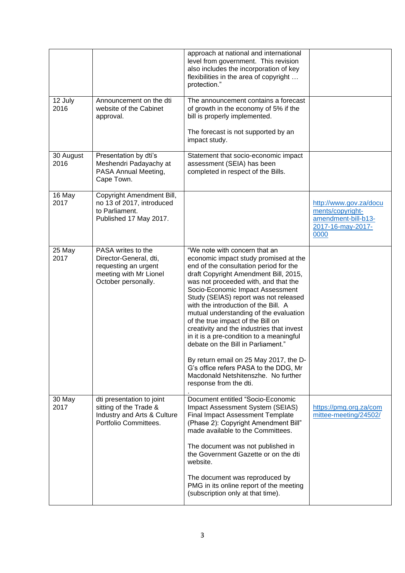|                   |                                                                                                                       | approach at national and international<br>level from government. This revision<br>also includes the incorporation of key<br>flexibilities in the area of copyright<br>protection."                                                                                                                                                                                                                                                                                                                                                   |                                                                                                |
|-------------------|-----------------------------------------------------------------------------------------------------------------------|--------------------------------------------------------------------------------------------------------------------------------------------------------------------------------------------------------------------------------------------------------------------------------------------------------------------------------------------------------------------------------------------------------------------------------------------------------------------------------------------------------------------------------------|------------------------------------------------------------------------------------------------|
| 12 July<br>2016   | Announcement on the dti<br>website of the Cabinet<br>approval.                                                        | The announcement contains a forecast<br>of growth in the economy of 5% if the<br>bill is properly implemented.                                                                                                                                                                                                                                                                                                                                                                                                                       |                                                                                                |
|                   |                                                                                                                       | The forecast is not supported by an<br>impact study.                                                                                                                                                                                                                                                                                                                                                                                                                                                                                 |                                                                                                |
| 30 August<br>2016 | Presentation by dti's<br>Meshendri Padayachy at<br>PASA Annual Meeting,<br>Cape Town.                                 | Statement that socio-economic impact<br>assessment (SEIA) has been<br>completed in respect of the Bills.                                                                                                                                                                                                                                                                                                                                                                                                                             |                                                                                                |
| 16 May<br>2017    | Copyright Amendment Bill,<br>no 13 of 2017, introduced<br>to Parliament.<br>Published 17 May 2017.                    |                                                                                                                                                                                                                                                                                                                                                                                                                                                                                                                                      | http://www.gov.za/docu<br>ments/copyright-<br>amendment-bill-b13-<br>2017-16-may-2017-<br>0000 |
| 25 May<br>2017    | PASA writes to the<br>Director-General, dti,<br>requesting an urgent<br>meeting with Mr Lionel<br>October personally. | "We note with concern that an<br>economic impact study promised at the<br>end of the consultation period for the<br>draft Copyright Amendment Bill, 2015,<br>was not proceeded with, and that the<br>Socio-Economic Impact Assessment<br>Study (SEIAS) report was not released<br>with the introduction of the Bill. A<br>mutual understanding of the evaluation<br>of the true impact of the Bill on<br>creativity and the industries that invest<br>in it is a pre-condition to a meaningful<br>debate on the Bill in Parliament." |                                                                                                |
|                   |                                                                                                                       | By return email on 25 May 2017, the D-<br>G's office refers PASA to the DDG, Mr<br>Macdonald Netshitenszhe. No further<br>response from the dti.                                                                                                                                                                                                                                                                                                                                                                                     |                                                                                                |
| 30 May<br>2017    | dti presentation to joint<br>sitting of the Trade &<br>Industry and Arts & Culture<br>Portfolio Committees.           | Document entitled "Socio-Economic<br>Impact Assessment System (SEIAS)<br><b>Final Impact Assessment Template</b><br>(Phase 2): Copyright Amendment Bill"<br>made available to the Committees.                                                                                                                                                                                                                                                                                                                                        | https://pmg.org.za/com<br>mittee-meeting/24502/                                                |
|                   |                                                                                                                       | The document was not published in<br>the Government Gazette or on the dti<br>website.                                                                                                                                                                                                                                                                                                                                                                                                                                                |                                                                                                |
|                   |                                                                                                                       | The document was reproduced by<br>PMG in its online report of the meeting<br>(subscription only at that time).                                                                                                                                                                                                                                                                                                                                                                                                                       |                                                                                                |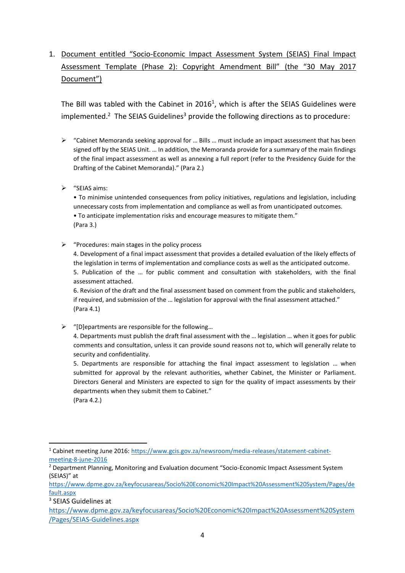## 1. Document entitled "Socio-Economic Impact Assessment System (SEIAS) Final Impact Assessment Template (Phase 2): Copyright Amendment Bill" (the "30 May 2017 Document")

The Bill was tabled with the Cabinet in 2016<sup>1</sup>, which is after the SEIAS Guidelines were implemented.<sup>2</sup> The SEIAS Guidelines<sup>3</sup> provide the following directions as to procedure:

- $\triangleright$  "Cabinet Memoranda seeking approval for ... Bills ... must include an impact assessment that has been signed off by the SEIAS Unit. … In addition, the Memoranda provide for a summary of the main findings of the final impact assessment as well as annexing a full report (refer to the Presidency Guide for the Drafting of the Cabinet Memoranda)." (Para 2.)
- ➢ "SEIAS aims:

• To minimise unintended consequences from policy initiatives, regulations and legislation, including unnecessary costs from implementation and compliance as well as from unanticipated outcomes. • To anticipate implementation risks and encourage measures to mitigate them." (Para 3.)

 $\triangleright$  "Procedures: main stages in the policy process

4. Development of a final impact assessment that provides a detailed evaluation of the likely effects of the legislation in terms of implementation and compliance costs as well as the anticipated outcome. 5. Publication of the … for public comment and consultation with stakeholders, with the final assessment attached.

6. Revision of the draft and the final assessment based on comment from the public and stakeholders, if required, and submission of the … legislation for approval with the final assessment attached." (Para 4.1)

 $\triangleright$  "[D]epartments are responsible for the following...

4. Departments must publish the draft final assessment with the … legislation … when it goes for public comments and consultation, unless it can provide sound reasons not to, which will generally relate to security and confidentiality.

5. Departments are responsible for attaching the final impact assessment to legislation … when submitted for approval by the relevant authorities, whether Cabinet, the Minister or Parliament. Directors General and Ministers are expected to sign for the quality of impact assessments by their departments when they submit them to Cabinet."

(Para 4.2.)

<sup>1</sup> Cabinet meeting June 2016: [https://www.gcis.gov.za/newsroom/media-releases/statement-cabinet](https://www.gcis.gov.za/newsroom/media-releases/statement-cabinet-meeting-8-june-2016)[meeting-8-june-2016](https://www.gcis.gov.za/newsroom/media-releases/statement-cabinet-meeting-8-june-2016)

<sup>&</sup>lt;sup>2</sup> Department Planning, Monitoring and Evaluation document "Socio-Economic Impact Assessment System (SEIAS)" at

[https://www.dpme.gov.za/keyfocusareas/Socio%20Economic%20Impact%20Assessment%20System/Pages/de](https://www.dpme.gov.za/keyfocusareas/Socio%20Economic%20Impact%20Assessment%20System/Pages/default.aspx) [fault.aspx](https://www.dpme.gov.za/keyfocusareas/Socio%20Economic%20Impact%20Assessment%20System/Pages/default.aspx)

<sup>3</sup> SEIAS Guidelines at

[https://www.dpme.gov.za/keyfocusareas/Socio%20Economic%20Impact%20Assessment%20System](https://www.dpme.gov.za/keyfocusareas/Socio%20Economic%20Impact%20Assessment%20System/Pages/SEIAS-Guidelines.aspx) [/Pages/SEIAS-Guidelines.aspx](https://www.dpme.gov.za/keyfocusareas/Socio%20Economic%20Impact%20Assessment%20System/Pages/SEIAS-Guidelines.aspx)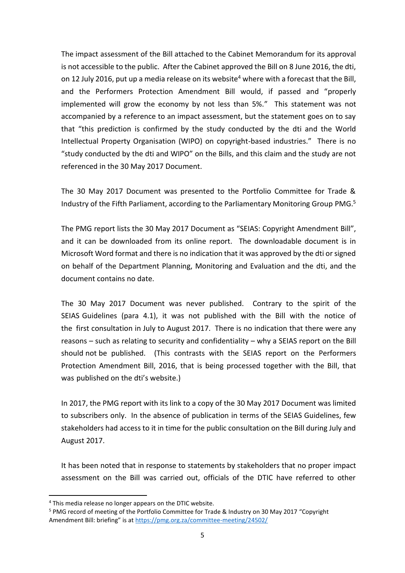The impact assessment of the Bill attached to the Cabinet Memorandum for its approval is not accessible to the public. After the Cabinet approved the Bill on 8 June 2016, the dti, on 12 July 2016, put up a media release on its website<sup>4</sup> where with a forecast that the Bill, and the Performers Protection Amendment Bill would, if passed and "properly implemented will grow the economy by not less than 5%." This statement was not accompanied by a reference to an impact assessment, but the statement goes on to say that "this prediction is confirmed by the study conducted by the dti and the World Intellectual Property Organisation (WIPO) on copyright-based industries." There is no "study conducted by the dti and WIPO" on the Bills, and this claim and the study are not referenced in the 30 May 2017 Document.

The 30 May 2017 Document was presented to the Portfolio Committee for Trade & Industry of the Fifth Parliament, according to the Parliamentary Monitoring Group  $PMG<sub>5</sub>$ 

The PMG report lists the 30 May 2017 Document as "SEIAS: Copyright Amendment Bill", and it can be downloaded from its online report. The downloadable document is in Microsoft Word format and there is no indication that it was approved by the dti or signed on behalf of the Department Planning, Monitoring and Evaluation and the dti, and the document contains no date.

The 30 May 2017 Document was never published. Contrary to the spirit of the SEIAS Guidelines (para 4.1), it was not published with the Bill with the notice of the first consultation in July to August 2017. There is no indication that there were any reasons – such as relating to security and confidentiality – why a SEIAS report on the Bill should not be published. (This contrasts with the SEIAS report on the Performers Protection Amendment Bill, 2016, that is being processed together with the Bill, that was published on the dti's website.)

In 2017, the PMG report with its link to a copy of the 30 May 2017 Document was limited to subscribers only. In the absence of publication in terms of the SEIAS Guidelines, few stakeholders had access to it in time for the public consultation on the Bill during July and August 2017.

It has been noted that in response to statements by stakeholders that no proper impact assessment on the Bill was carried out, officials of the DTIC have referred to other

<sup>4</sup> This media release no longer appears on the DTIC website.

<sup>5</sup> PMG record of meeting of the Portfolio Committee for Trade & Industry on 30 May 2017 "Copyright Amendment Bill: briefing" is at<https://pmg.org.za/committee-meeting/24502/>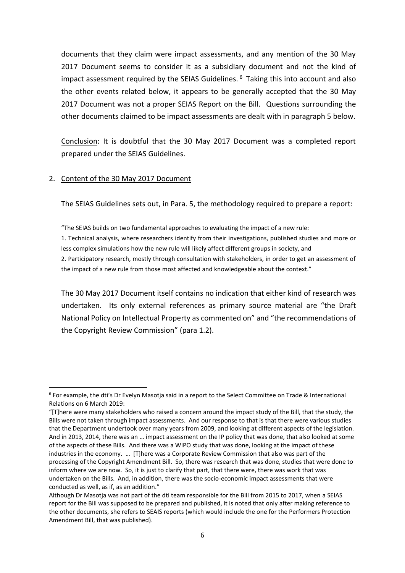documents that they claim were impact assessments, and any mention of the 30 May 2017 Document seems to consider it as a subsidiary document and not the kind of impact assessment required by the SEIAS Guidelines.  $6$  Taking this into account and also the other events related below, it appears to be generally accepted that the 30 May 2017 Document was not a proper SEIAS Report on the Bill. Questions surrounding the other documents claimed to be impact assessments are dealt with in paragraph 5 below.

Conclusion: It is doubtful that the 30 May 2017 Document was a completed report prepared under the SEIAS Guidelines.

### 2. Content of the 30 May 2017 Document

The SEIAS Guidelines sets out, in Para. 5, the methodology required to prepare a report:

"The SEIAS builds on two fundamental approaches to evaluating the impact of a new rule: 1. Technical analysis, where researchers identify from their investigations, published studies and more or less complex simulations how the new rule will likely affect different groups in society, and 2. Participatory research, mostly through consultation with stakeholders, in order to get an assessment of

the impact of a new rule from those most affected and knowledgeable about the context."

The 30 May 2017 Document itself contains no indication that either kind of research was undertaken. Its only external references as primary source material are "the Draft National Policy on Intellectual Property as commented on" and "the recommendations of the Copyright Review Commission" (para 1.2).

<sup>6</sup> For example, the dti's Dr Evelyn Masotja said in a report to the Select Committee on Trade & International Relations on 6 March 2019:

<sup>&</sup>quot;[T]here were many stakeholders who raised a concern around the impact study of the Bill, that the study, the Bills were not taken through impact assessments. And our response to that is that there were various studies that the Department undertook over many years from 2009, and looking at different aspects of the legislation. And in 2013, 2014, there was an … impact assessment on the IP policy that was done, that also looked at some of the aspects of these Bills. And there was a WIPO study that was done, looking at the impact of these industries in the economy. … [T]here was a Corporate Review Commission that also was part of the processing of the Copyright Amendment Bill. So, there was research that was done, studies that were done to inform where we are now. So, it is just to clarify that part, that there were, there was work that was undertaken on the Bills. And, in addition, there was the socio-economic impact assessments that were conducted as well, as if, as an addition."

Although Dr Masotja was not part of the dti team responsible for the Bill from 2015 to 2017, when a SEIAS report for the Bill was supposed to be prepared and published, it is noted that only after making reference to the other documents, she refers to SEAIS reports (which would include the one for the Performers Protection Amendment Bill, that was published).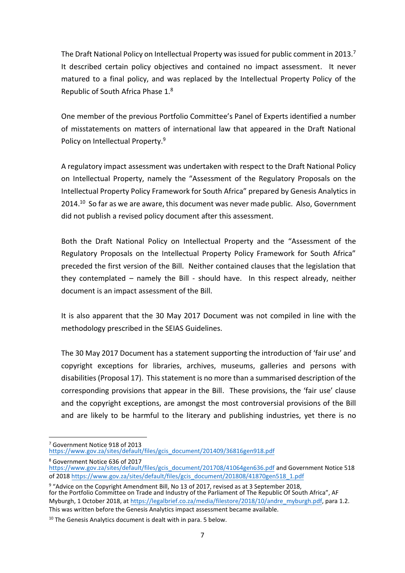The Draft National Policy on Intellectual Property was issued for public comment in 2013.<sup>7</sup> It described certain policy objectives and contained no impact assessment. It never matured to a final policy, and was replaced by the Intellectual Property Policy of the Republic of South Africa Phase 1.<sup>8</sup>

One member of the previous Portfolio Committee's Panel of Experts identified a number of misstatements on matters of international law that appeared in the Draft National Policy on Intellectual Property.<sup>9</sup>

A regulatory impact assessment was undertaken with respect to the Draft National Policy on Intellectual Property, namely the "Assessment of the Regulatory Proposals on the Intellectual Property Policy Framework for South Africa" prepared by Genesis Analytics in 2014.<sup>10</sup> So far as we are aware, this document was never made public. Also, Government did not publish a revised policy document after this assessment.

Both the Draft National Policy on Intellectual Property and the "Assessment of the Regulatory Proposals on the Intellectual Property Policy Framework for South Africa" preceded the first version of the Bill. Neither contained clauses that the legislation that they contemplated – namely the Bill - should have. In this respect already, neither document is an impact assessment of the Bill.

It is also apparent that the 30 May 2017 Document was not compiled in line with the methodology prescribed in the SEIAS Guidelines.

The 30 May 2017 Document has a statement supporting the introduction of 'fair use' and copyright exceptions for libraries, archives, museums, galleries and persons with disabilities (Proposal 17). This statement is no more than a summarised description of the corresponding provisions that appear in the Bill. These provisions, the 'fair use' clause and the copyright exceptions, are amongst the most controversial provisions of the Bill and are likely to be harmful to the literary and publishing industries, yet there is no

<sup>7</sup> Government Notice 918 of 2013

[https://www.gov.za/sites/default/files/gcis\\_document/201409/36816gen918.pdf](https://www.gov.za/sites/default/files/gcis_document/201409/36816gen918.pdf)

<sup>8</sup> Government Notice 636 of 2017

[https://www.gov.za/sites/default/files/gcis\\_document/201708/41064gen636.pdf](https://www.gov.za/sites/default/files/gcis_document/201708/41064gen636.pdf) and Government Notice 518 of 2018 [https://www.gov.za/sites/default/files/gcis\\_document/201808/41870gen518\\_1.pdf](https://www.gov.za/sites/default/files/gcis_document/201808/41870gen518_1.pdf)

<sup>&</sup>lt;sup>9</sup> "Advice on the Copyright Amendment Bill, No 13 of 2017, revised as at 3 September 2018, for the Portfolio Committee on Trade and Industry of the Parliament of The Republic Of South Africa", AF Myburgh, 1 October 2018, at [https://legalbrief.co.za/media/filestore/2018/10/andre\\_myburgh.pdf,](https://legalbrief.co.za/media/filestore/2018/10/andre_myburgh.pdf) para 1.2. This was written before the Genesis Analytics impact assessment became available.

 $10$  The Genesis Analytics document is dealt with in para. 5 below.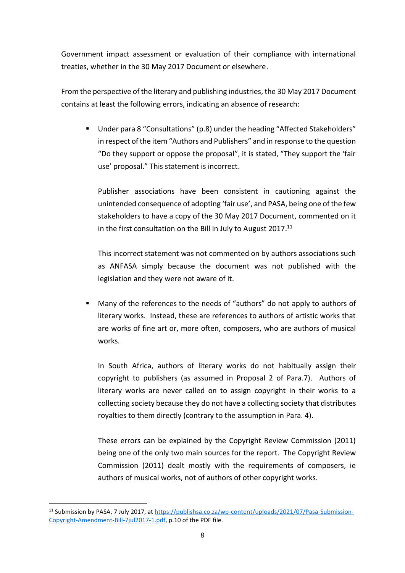Government impact assessment or evaluation of their compliance with international treaties, whether in the 30 May 2017 Document or elsewhere.

From the perspective of the literary and publishing industries, the 30 May 2017 Document contains at least the following errors, indicating an absence of research:

■ Under para 8 "Consultations" (p.8) under the heading "Affected Stakeholders" in respect of the item "Authors and Publishers" and in response to the question "Do they support or oppose the proposal", it is stated, "They support the 'fair use' proposal." This statement is incorrect.

Publisher associations have been consistent in cautioning against the unintended consequence of adopting 'fair use', and PASA, being one of the few stakeholders to have a copy of the 30 May 2017 Document, commented on it in the first consultation on the Bill in July to August 2017.<sup>11</sup>

This incorrect statement was not commented on by authors associations such as ANFASA simply because the document was not published with the legislation and they were not aware of it.

Many of the references to the needs of "authors" do not apply to authors of literary works. Instead, these are references to authors of artistic works that are works of fine art or, more often, composers, who are authors of musical works.

In South Africa, authors of literary works do not habitually assign their copyright to publishers (as assumed in Proposal 2 of Para.7). Authors of literary works are never called on to assign copyright in their works to a collecting society because they do not have a collecting society that distributes royalties to them directly (contrary to the assumption in Para. 4).

These errors can be explained by the Copyright Review Commission (2011) being one of the only two main sources for the report. The Copyright Review Commission (2011) dealt mostly with the requirements of composers, ie authors of musical works, not of authors of other copyright works.

<sup>11</sup> Submission by PASA, 7 July 2017, a[t https://publishsa.co.za/wp-content/uploads/2021/07/Pasa-Submission-](https://publishsa.co.za/wp-content/uploads/2021/07/Pasa-Submission-Copyright-Amendment-Bill-7jul2017-1.pdf)[Copyright-Amendment-Bill-7jul2017-1.pdf,](https://publishsa.co.za/wp-content/uploads/2021/07/Pasa-Submission-Copyright-Amendment-Bill-7jul2017-1.pdf) p.10 of the PDF file.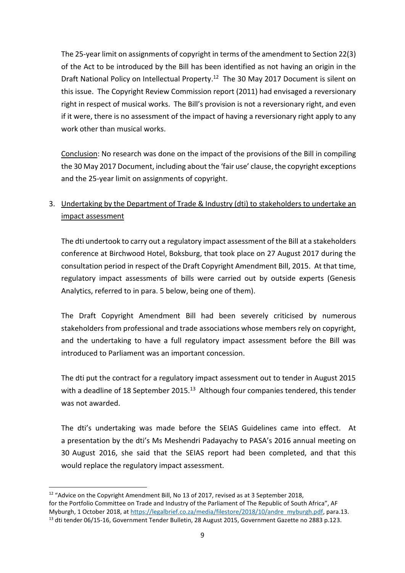The 25-year limit on assignments of copyright in terms of the amendment to Section 22(3) of the Act to be introduced by the Bill has been identified as not having an origin in the Draft National Policy on Intellectual Property.<sup>12</sup> The 30 May 2017 Document is silent on this issue. The Copyright Review Commission report (2011) had envisaged a reversionary right in respect of musical works. The Bill's provision is not a reversionary right, and even if it were, there is no assessment of the impact of having a reversionary right apply to any work other than musical works.

Conclusion: No research was done on the impact of the provisions of the Bill in compiling the 30 May 2017 Document, including about the 'fair use' clause, the copyright exceptions and the 25-year limit on assignments of copyright.

## 3. Undertaking by the Department of Trade & Industry (dti) to stakeholders to undertake an impact assessment

The dti undertook to carry out a regulatory impact assessment of the Bill at a stakeholders conference at Birchwood Hotel, Boksburg, that took place on 27 August 2017 during the consultation period in respect of the Draft Copyright Amendment Bill, 2015. At that time, regulatory impact assessments of bills were carried out by outside experts (Genesis Analytics, referred to in para. 5 below, being one of them).

The Draft Copyright Amendment Bill had been severely criticised by numerous stakeholders from professional and trade associations whose members rely on copyright, and the undertaking to have a full regulatory impact assessment before the Bill was introduced to Parliament was an important concession.

The dti put the contract for a regulatory impact assessment out to tender in August 2015 with a deadline of 18 September 2015.<sup>13</sup> Although four companies tendered, this tender was not awarded.

The dti's undertaking was made before the SEIAS Guidelines came into effect. At a presentation by the dti's Ms Meshendri Padayachy to PASA's 2016 annual meeting on 30 August 2016, she said that the SEIAS report had been completed, and that this would replace the regulatory impact assessment.

<sup>&</sup>lt;sup>12</sup> "Advice on the Copyright Amendment Bill, No 13 of 2017, revised as at 3 September 2018, for the Portfolio Committee on Trade and Industry of the Parliament of The Republic of South Africa", AF Myburgh, 1 October 2018, at [https://legalbrief.co.za/media/filestore/2018/10/andre\\_myburgh.pdf,](https://legalbrief.co.za/media/filestore/2018/10/andre_myburgh.pdf) para.13. <sup>13</sup> dti tender 06/15-16, Government Tender Bulletin, 28 August 2015, Government Gazette no 2883 p.123.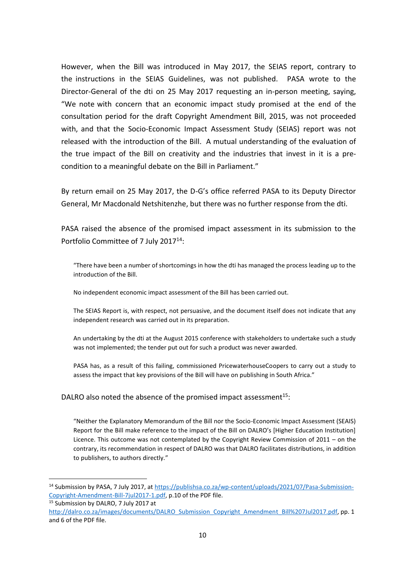However, when the Bill was introduced in May 2017, the SEIAS report, contrary to the instructions in the SEIAS Guidelines, was not published. PASA wrote to the Director-General of the dti on 25 May 2017 requesting an in-person meeting, saying, "We note with concern that an economic impact study promised at the end of the consultation period for the draft Copyright Amendment Bill, 2015, was not proceeded with, and that the Socio-Economic Impact Assessment Study (SEIAS) report was not released with the introduction of the Bill. A mutual understanding of the evaluation of the true impact of the Bill on creativity and the industries that invest in it is a precondition to a meaningful debate on the Bill in Parliament."

By return email on 25 May 2017, the D-G's office referred PASA to its Deputy Director General, Mr Macdonald Netshitenzhe, but there was no further response from the dti.

PASA raised the absence of the promised impact assessment in its submission to the Portfolio Committee of 7 July 2017<sup>14</sup>:

"There have been a number of shortcomings in how the dti has managed the process leading up to the introduction of the Bill.

No independent economic impact assessment of the Bill has been carried out.

The SEIAS Report is, with respect, not persuasive, and the document itself does not indicate that any independent research was carried out in its preparation.

An undertaking by the dti at the August 2015 conference with stakeholders to undertake such a study was not implemented; the tender put out for such a product was never awarded.

PASA has, as a result of this failing, commissioned PricewaterhouseCoopers to carry out a study to assess the impact that key provisions of the Bill will have on publishing in South Africa."

DALRO also noted the absence of the promised impact assessment<sup>15</sup>:

"Neither the Explanatory Memorandum of the Bill nor the Socio-Economic Impact Assessment (SEAIS) Report for the Bill make reference to the impact of the Bill on DALRO's [Higher Education Institution] Licence. This outcome was not contemplated by the Copyright Review Commission of 2011 – on the contrary, its recommendation in respect of DALRO was that DALRO facilitates distributions, in addition to publishers, to authors directly."

<sup>14</sup> Submission by PASA, 7 July 2017, at [https://publishsa.co.za/wp-content/uploads/2021/07/Pasa-Submission-](https://publishsa.co.za/wp-content/uploads/2021/07/Pasa-Submission-Copyright-Amendment-Bill-7jul2017-1.pdf)[Copyright-Amendment-Bill-7jul2017-1.pdf,](https://publishsa.co.za/wp-content/uploads/2021/07/Pasa-Submission-Copyright-Amendment-Bill-7jul2017-1.pdf) p.10 of the PDF file.

<sup>&</sup>lt;sup>15</sup> Submission by DALRO, 7 July 2017 at

[http://dalro.co.za/images/documents/DALRO\\_Submission\\_Copyright\\_Amendment\\_Bill%207Jul2017.pdf,](http://dalro.co.za/images/documents/DALRO_Submission_Copyright_Amendment_Bill%207Jul2017.pdf) pp. 1 and 6 of the PDF file.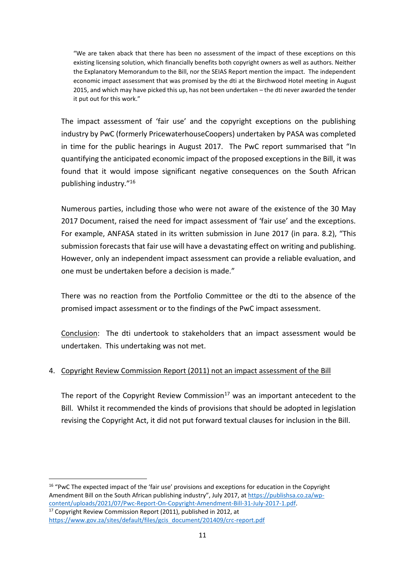"We are taken aback that there has been no assessment of the impact of these exceptions on this existing licensing solution, which financially benefits both copyright owners as well as authors. Neither the Explanatory Memorandum to the Bill, nor the SEIAS Report mention the impact. The independent economic impact assessment that was promised by the dti at the Birchwood Hotel meeting in August 2015, and which may have picked this up, has not been undertaken – the dti never awarded the tender it put out for this work."

The impact assessment of 'fair use' and the copyright exceptions on the publishing industry by PwC (formerly PricewaterhouseCoopers) undertaken by PASA was completed in time for the public hearings in August 2017. The PwC report summarised that "In quantifying the anticipated economic impact of the proposed exceptions in the Bill, it was found that it would impose significant negative consequences on the South African publishing industry." 16

Numerous parties, including those who were not aware of the existence of the 30 May 2017 Document, raised the need for impact assessment of 'fair use' and the exceptions. For example, ANFASA stated in its written submission in June 2017 (in para. 8.2), "This submission forecasts that fair use will have a devastating effect on writing and publishing. However, only an independent impact assessment can provide a reliable evaluation, and one must be undertaken before a decision is made."

There was no reaction from the Portfolio Committee or the dti to the absence of the promised impact assessment or to the findings of the PwC impact assessment.

Conclusion: The dti undertook to stakeholders that an impact assessment would be undertaken. This undertaking was not met.

### 4. Copyright Review Commission Report (2011) not an impact assessment of the Bill

The report of the Copyright Review Commission<sup>17</sup> was an important antecedent to the Bill. Whilst it recommended the kinds of provisions that should be adopted in legislation revising the Copyright Act, it did not put forward textual clauses for inclusion in the Bill.

<sup>16</sup> "PwC The expected impact of the 'fair use' provisions and exceptions for education in the Copyright Amendment Bill on the South African publishing industry", July 2017, a[t https://publishsa.co.za/wp](https://publishsa.co.za/wp-content/uploads/2021/07/Pwc-Report-On-Copyright-Amendment-Bill-31-July-2017-1.pdf)[content/uploads/2021/07/Pwc-Report-On-Copyright-Amendment-Bill-31-July-2017-1.pdf.](https://publishsa.co.za/wp-content/uploads/2021/07/Pwc-Report-On-Copyright-Amendment-Bill-31-July-2017-1.pdf)  $17$  Copyright Review Commission Report (2011), published in 2012, at

[https://www.gov.za/sites/default/files/gcis\\_document/201409/crc-report.pdf](https://www.gov.za/sites/default/files/gcis_document/201409/crc-report.pdf)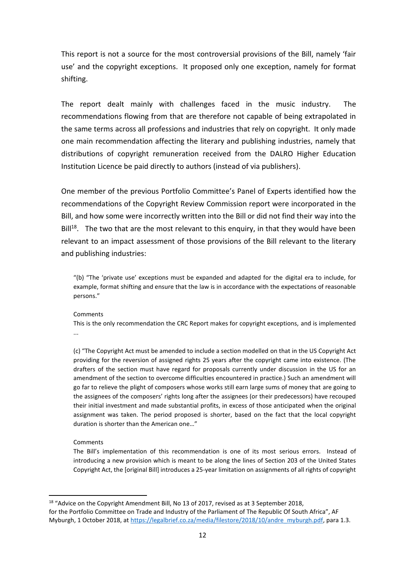This report is not a source for the most controversial provisions of the Bill, namely 'fair use' and the copyright exceptions. It proposed only one exception, namely for format shifting.

The report dealt mainly with challenges faced in the music industry. The recommendations flowing from that are therefore not capable of being extrapolated in the same terms across all professions and industries that rely on copyright. It only made one main recommendation affecting the literary and publishing industries, namely that distributions of copyright remuneration received from the DALRO Higher Education Institution Licence be paid directly to authors (instead of via publishers).

One member of the previous Portfolio Committee's Panel of Experts identified how the recommendations of the Copyright Review Commission report were incorporated in the Bill, and how some were incorrectly written into the Bill or did not find their way into the  $Bill<sup>18</sup>$ . The two that are the most relevant to this enguiry, in that they would have been relevant to an impact assessment of those provisions of the Bill relevant to the literary and publishing industries:

"(b) "The 'private use' exceptions must be expanded and adapted for the digital era to include, for example, format shifting and ensure that the law is in accordance with the expectations of reasonable persons."

#### Comments

This is the only recommendation the CRC Report makes for copyright exceptions, and is implemented ...

(c) "The Copyright Act must be amended to include a section modelled on that in the US Copyright Act providing for the reversion of assigned rights 25 years after the copyright came into existence. (The drafters of the section must have regard for proposals currently under discussion in the US for an amendment of the section to overcome difficulties encountered in practice.) Such an amendment will go far to relieve the plight of composers whose works still earn large sums of money that are going to the assignees of the composers' rights long after the assignees (or their predecessors) have recouped their initial investment and made substantial profits, in excess of those anticipated when the original assignment was taken. The period proposed is shorter, based on the fact that the local copyright duration is shorter than the American one…"

#### Comments

The Bill's implementation of this recommendation is one of its most serious errors. Instead of introducing a new provision which is meant to be along the lines of Section 203 of the United States Copyright Act, the [original Bill] introduces a 25-year limitation on assignments of all rights of copyright

<sup>&</sup>lt;sup>18</sup> "Advice on the Copyright Amendment Bill, No 13 of 2017, revised as at 3 September 2018, for the Portfolio Committee on Trade and Industry of the Parliament of The Republic Of South Africa", AF Myburgh, 1 October 2018, at [https://legalbrief.co.za/media/filestore/2018/10/andre\\_myburgh.pdf,](https://legalbrief.co.za/media/filestore/2018/10/andre_myburgh.pdf) para 1.3.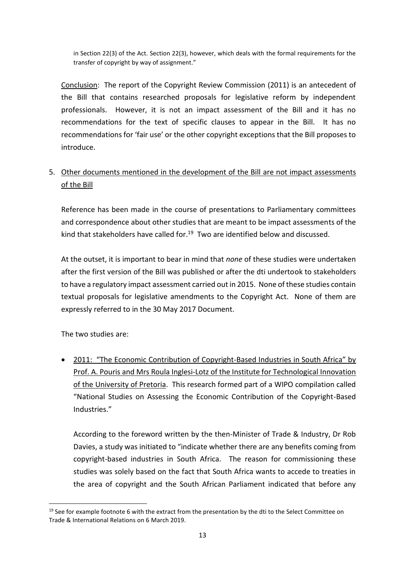in Section 22(3) of the Act. Section 22(3), however, which deals with the formal requirements for the transfer of copyright by way of assignment."

Conclusion: The report of the Copyright Review Commission (2011) is an antecedent of the Bill that contains researched proposals for legislative reform by independent professionals. However, it is not an impact assessment of the Bill and it has no recommendations for the text of specific clauses to appear in the Bill. It has no recommendations for 'fair use' or the other copyright exceptions that the Bill proposes to introduce.

## 5. Other documents mentioned in the development of the Bill are not impact assessments of the Bill

Reference has been made in the course of presentations to Parliamentary committees and correspondence about other studies that are meant to be impact assessments of the kind that stakeholders have called for.<sup>19</sup> Two are identified below and discussed.

At the outset, it is important to bear in mind that *none* of these studies were undertaken after the first version of the Bill was published or after the dti undertook to stakeholders to have a regulatory impact assessment carried out in 2015. None of these studies contain textual proposals for legislative amendments to the Copyright Act. None of them are expressly referred to in the 30 May 2017 Document.

The two studies are:

• 2011: "The Economic Contribution of Copyright-Based Industries in South Africa" by Prof. A. Pouris and Mrs Roula Inglesi-Lotz of the Institute for Technological Innovation of the University of Pretoria. This research formed part of a WIPO compilation called "National Studies on Assessing the Economic Contribution of the Copyright-Based Industries."

According to the foreword written by the then-Minister of Trade & Industry, Dr Rob Davies, a study was initiated to "indicate whether there are any benefits coming from copyright-based industries in South Africa. The reason for commissioning these studies was solely based on the fact that South Africa wants to accede to treaties in the area of copyright and the South African Parliament indicated that before any

 $19$  See for example footnote 6 with the extract from the presentation by the dti to the Select Committee on Trade & International Relations on 6 March 2019.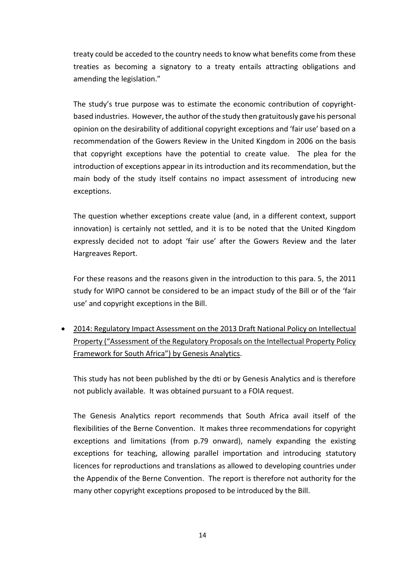treaty could be acceded to the country needs to know what benefits come from these treaties as becoming a signatory to a treaty entails attracting obligations and amending the legislation."

The study's true purpose was to estimate the economic contribution of copyrightbased industries. However, the author of the study then gratuitously gave his personal opinion on the desirability of additional copyright exceptions and 'fair use' based on a recommendation of the Gowers Review in the United Kingdom in 2006 on the basis that copyright exceptions have the potential to create value. The plea for the introduction of exceptions appear in its introduction and its recommendation, but the main body of the study itself contains no impact assessment of introducing new exceptions.

The question whether exceptions create value (and, in a different context, support innovation) is certainly not settled, and it is to be noted that the United Kingdom expressly decided not to adopt 'fair use' after the Gowers Review and the later Hargreaves Report.

For these reasons and the reasons given in the introduction to this para. 5, the 2011 study for WIPO cannot be considered to be an impact study of the Bill or of the 'fair use' and copyright exceptions in the Bill.

• 2014: Regulatory Impact Assessment on the 2013 Draft National Policy on Intellectual Property ("Assessment of the Regulatory Proposals on the Intellectual Property Policy Framework for South Africa") by Genesis Analytics.

This study has not been published by the dti or by Genesis Analytics and is therefore not publicly available. It was obtained pursuant to a FOIA request.

The Genesis Analytics report recommends that South Africa avail itself of the flexibilities of the Berne Convention. It makes three recommendations for copyright exceptions and limitations (from p.79 onward), namely expanding the existing exceptions for teaching, allowing parallel importation and introducing statutory licences for reproductions and translations as allowed to developing countries under the Appendix of the Berne Convention. The report is therefore not authority for the many other copyright exceptions proposed to be introduced by the Bill.